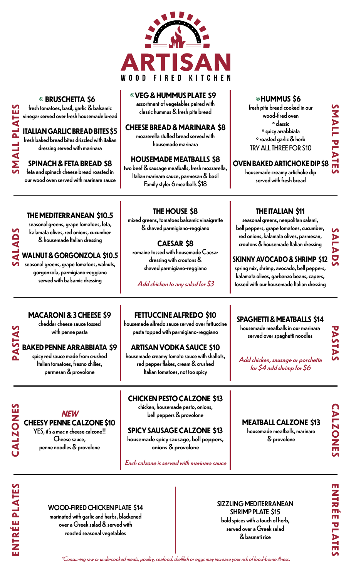

#### **BRUSCHETTA \$6**

fresh tomatoes, basil, garlic & balsamic vinegar served over fresh housemade bread

#### **ITALIAN GARLIC BREAD BITES \$5**

fresh baked bread bites drizzled with italian dressing served with marinara

**SMALL PLATES**

**IVIG TIVNUS** 

**SALADS**

**PASTAS**

#### **SPINACH & FETA BREAD \$8**

feta and spinach cheese bread roasted in our wood oven served with marinara sauce

#### <sup>V</sup> **VEG & HUMMUS PLATE \$9** V

assortment of vegetables paired with classic hummus & fresh pita bread

#### **CHEESE BREAD & MARINARA \$8**

mozzerella stuffed bread served with housemade marinara

#### **HOUSEMADE MEATBALLS \$8**

two beef & sausage meatballs, fresh mozzarella, Italian marinara sauce, parmesan & basil Family style: 6 meatballs \$18

#### **HUMMUS \$6** V

fresh pita bread cooked in our wood-fired oven º classic º spicy arrabbiata º roasted garlic & herb TRY ALL THREE FOR \$10

### MALL PLATES **OVEN BAKED ARTICHOKE DIP \$8**

housemade creamy artichoke dip served with fresh bread

**THE ITALIAN \$11** seasonal greens, neapolitan salami, bell peppers, grape tomatoes, cucumber, red onions, kalamata olives, parmesan, croutons & housemade Italian dressing

**SMALL PLATES**

**SALADS**

#### **THE MEDITERRANEAN \$10.5**

seasonal greens, grape tomatoes, feta, kalamata olives, red onions, cucumber & housemade Italian dressing

#### **WALNUT & GORGONZOLA \$10.5**

seasonal greens, grape tomatoes, walnuts, gorgonzola, parmigiano-reggiano served with balsamic dressing

#### **THE HOUSE \$8**

mixed greens, tomatoes balsamic vinaigrette & shaved parmigiano-reggiano

#### **CAESAR \$8**

romaine tossed with housemade Caesar dressing with croutons & shaved parmigiano-reggiano

Add chicken to any salad for \$3

#### **MACARONI & 3 CHEESE \$9**

cheddar cheese sauce tossed with penne pasta

#### **BAKED PENNE ARRABBIATA \$9**

spicy red sauce made from crushed Italian tomatoes, fresno chilies, parmesan & provolone

**NEW CHEESY PENNE CALZONE \$10** YES, it's a mac n cheese calzone!! Cheese sauce, penne noodles & provolone

#### **FETTUCCINE ALFREDO \$10**

housemade alfredo sauce served over fettuccine pasta topped with parmigiano-reggiano

#### **ARTISAN VODKA SAUCE \$10**

housemade creamy tomato sauce with shallots, red pepper flakes, cream & crushed Italian tomatoes, not too spicy

#### **CHICKEN PESTO CALZONE \$13**

bell peppers & provolone

#### **SPICY SAUSAGE CALZONE \$13**

housemade spicy sausage, bell peppers, onions & provolone

Each calzone is served with marinara sauce

#### spring mix, shrimp, avocado, bell peppers,

kalamata olives, garbanzo beans, capers, tossed with our housemade Italian dressing

**SKINNY AVOCADO & SHRIMP \$12**

#### **SPAGHETTI & MEATBALLS \$14**

housemade meatballs in our marinara served over spaghetti noodles

Add chicken, sausage or porchetta for \$4 add shrimp for \$6

**MEATBALL CALZONE \$13** housemade meatballs, marinara & provolone

**PASTAS**

**ENTRÉE PLATES**

**ENTRÉE PLATES** 

**CALZONES**

CALZONES

#### WOOD-FIRED CHICKEN PLATE \$14

marinated with garlic and herbs, blackened over a Greek salad & served with roasted seasonal vegetables

#### SIZZLING MEDITERRANEAN SHRIMP PLATE \$15 bold spices with a touch of herb,

served over a Greek salad & basmati rice

\*Consuming raw or undercooked meats, poultry, seafood, shellfish or eggs may increase your risk of food-borne illness.

chicken, housemade pesto, onions,